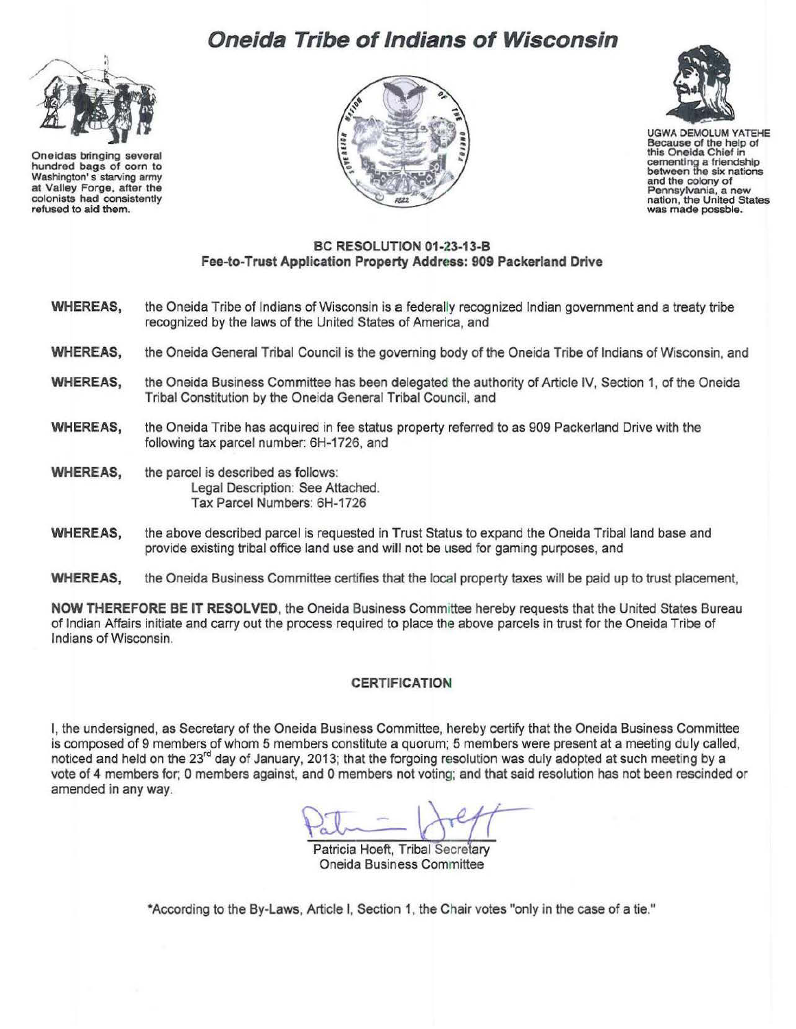# **Oneida Tribe of Indians of Wisconsin**



Oneidas bringing several hundred bags of corn to Washington's starving army at Valley Forge, after the colonists had consistently refused to aid them.





UGWA DEMOLUM YATEHE Because of the help of this Oneida Chief in cementing a friendship between the six nations and the colony of<br>Pennsylvania, a new nation, the United States<br>was made possble.

#### **BC RESOLUTION 01-23-13-B Fee-to-Trust Application Property Address: 909 Packerland Drive**

- **WHEREAS,** the Oneida Tribe of Indians of Wisconsin is a federally recognized Indian government and a treaty tribe recognized by the laws of the United States of America, and
- **WHEREAS,** the Oneida General Tribal Council is the governing body of the Oneida Tribe of Indians of Wisconsin, and
- **WHEREAS,** the Oneida Business Committee has been delegated the authority of Article IV, Section 1, of the Oneida Tribal Constitution by the Oneida General Tribal Council, and
- **WHEREAS,** the Oneida Tribe has acquired in fee status property referred to as 909 Packerland Drive with the following tax parcel number: 6H-1726, and
- **WHEREAS,** the parcel is described as follows: Legal Description: See Attached. Tax Parcel Numbers: 6H-1726
- **WHEREAS,** the above described parcel is requested in Trust Status to expand the Oneida Tribal land base and provide existing tribal office land use and will not be used for gaming purposes, and
- **WHEREAS,** the Oneida Business Committee certifies that the local property taxes will be paid up to trust placement,

**NOW THEREFORE BE IT RESOLVED, the Oneida Business Committee hereby requests that the United States Bureau** of Indian Affairs initiate and carry out the process required to place the above parcels in trust for the Oneida Tribe of Indians of Wisconsin.

#### **CERTIFICATION**

I, the undersigned, as Secretary of the Oneida Business Committee, hereby certify that the Oneida Business Committee is composed of 9 members of whom 5 members constitute a quorum; 5 members were present at a meeting duly called, noticed and held on the 23<sup>rd</sup> day of January, 2013; that the forgoing resolution was duly adopted at such meeting by a vote of 4 members for; 0 members against, and 0 members not voting; and that said resolution has not been rescinded or amended in any way.

Patricia Hoeft, Tribal Secretary Oneida Business Committee

\*According to the By-Laws, Article I, Section 1, the Chair votes "only in the case of a tie."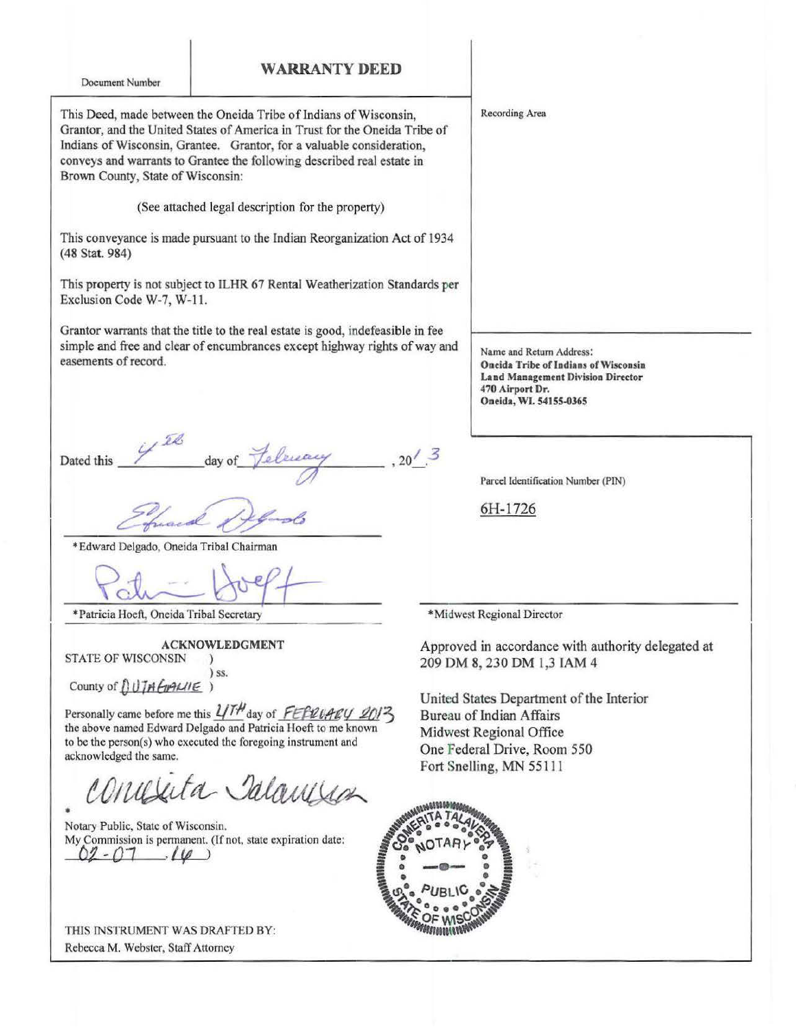### WARRANTY **DEED**

Document Number

This Deed, made between the Oneida Tribe of Indians of Wisconsin, Grantor, and the United States of America in Trust for the Oneida Tribe of Indians of Wisconsin, Grantee. Grantor, for a valuable consideration, conveys and warrants to Grantee the following described reaJ estate in Brown County, State of Wisconsin:

(See attached legal description for the property)

This conveyance is made pursuant to the Indian Reorganization Act of 1934 (48 Stat. 984)

This property is not subject to ILHR 67 Rental Weatherization Standards per Exclusion Code W-7, W-11.

Grantor warrants that the title to the real estate is good, indefeasible in fee simple and free and clear of encumbrances except highway rights of way and easements of record.

 $2.6$ Dated this 4<sup>22</sup> day of *feleward* 

Efuard of floods

\*Edward Delgado, Oneida Tribal Chairman

• Patricia Hoeft, Oneida Tribal Secretary\_ • Midwest Regional Director

ACKNOWLEDGMENT

STATE OF WISCONSIN ) ) ss.

County of *DUTA Emanne* )

Personally came before me this  $4/\sqrt{I/H}$  day of FEFRUARY 2013 the above named Edward Delgado and Patricia Hoeft to me known to be the person(s) who executed the foregoing instrument and acknowledged the same.

Salanjua •

Notary Public, State of Wisconsin. My Commission is permanent. (If not, state expiration date:  $\cdot$ *(* $\varnothing$ *)* 

THIS INSTRUMENT WAS DRAFTED BY: Rebecca M. Webster, Staff Attorney

Recording Area

Name and Return Address: Oneida Tribe of Indians of Wisconsin Land Management Division Director 470 Airport Dr. Oneida, WI. 54155-0365

Parcel Identification Number (PIN)

6H-1726

Approved in accordance with authority delegated at 209 DM 8, 230 DM 1,3 IAM 4

United States Department of the Interior Bureau of Indian Affairs Midwest Regional Office One Federal Drive, Room 550 Fort Snelling, MN 55111